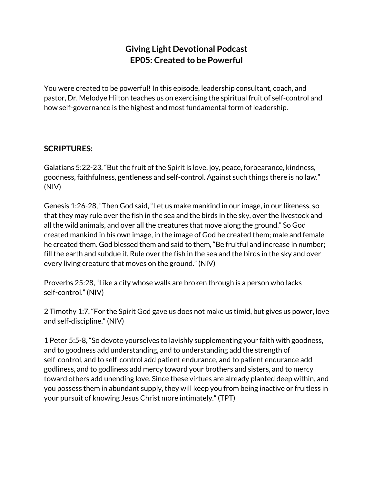## **Giving Light Devotional Podcast EP05: Created to be Powerful**

You were created to be powerful! In this episode, leadership consultant, coach, and pastor, Dr. Melodye Hilton teaches us on exercising the spiritual fruit of self-control and how self-governance is the highest and most fundamental form of leadership.

#### **SCRIPTURES:**

Galatians 5:22-23, "But the fruit of the Spirit is love, joy, peace, forbearance, kindness, goodness, faithfulness, gentleness and self-control. Against such things there is no law." (NIV)

Genesis 1:26-28, "Then God said, "Let us make mankind in our image, in our likeness, so that they may rule over the fish in the sea and the birds in the sky, over the livestock and all the wild animals, and over all the creatures that move along the ground." So God created mankind in his own image, in the image of God he created them; male and female he created them. God blessed them and said to them, "Be fruitful and increase in number; fill the earth and subdue it. Rule over the fish in the sea and the birds in the sky and over every living creature that moves on the ground." (NIV)

Proverbs 25:28, "Like a city whose walls are broken through is a person who lacks self-control." (NIV)

2 Timothy 1:7, "For the Spirit God gave us does not make us timid, but gives us power, love and self-discipline." (NIV)

1 Peter 5:5-8, "So devote yourselves to lavishly supplementing your faith with goodness, and to goodness add understanding, and to understanding add the strength of self-control, and to self-control add patient endurance, and to patient endurance add godliness, and to godliness add mercy toward your brothers and sisters, and to mercy toward others add unending love. Since these virtues are already planted deep within, and you possess them in abundant supply, they will keep you from being inactive or fruitless in your pursuit of knowing Jesus Christ more intimately." (TPT)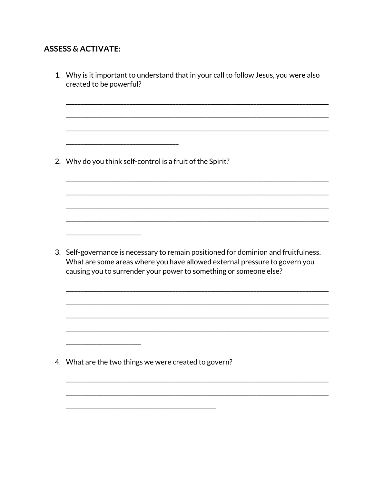## **ASSESS & ACTIVATE:**

| 1. Why is it important to understand that in your call to follow Jesus, you were also<br>created to be powerful?                                                                                                                       |
|----------------------------------------------------------------------------------------------------------------------------------------------------------------------------------------------------------------------------------------|
| 2. Why do you think self-control is a fruit of the Spirit?                                                                                                                                                                             |
|                                                                                                                                                                                                                                        |
|                                                                                                                                                                                                                                        |
|                                                                                                                                                                                                                                        |
| 3. Self-governance is necessary to remain positioned for dominion and fruitfulness.<br>What are some areas where you have allowed external pressure to govern you<br>causing you to surrender your power to something or someone else? |
|                                                                                                                                                                                                                                        |
|                                                                                                                                                                                                                                        |
|                                                                                                                                                                                                                                        |
|                                                                                                                                                                                                                                        |
| 4. What are the two things we were created to govern?                                                                                                                                                                                  |
|                                                                                                                                                                                                                                        |
|                                                                                                                                                                                                                                        |
|                                                                                                                                                                                                                                        |
|                                                                                                                                                                                                                                        |